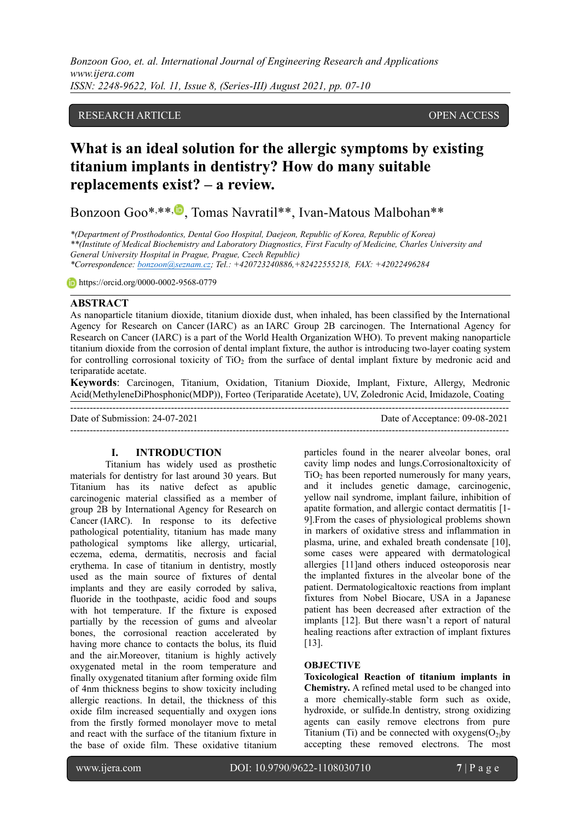*Bonzoon Goo, et. al. International Journal of Engineering Research and Applications www.ijera.com ISSN: 2248-9622, Vol. 11, Issue 8, (Series-III) August 2021, pp. 07-10*

## RESEARCH ARTICLE OPEN ACCESS

# **What is an ideal solution for the allergic symptoms by existing titanium implants in dentistry? How do many suitable replacements exist? – a review.**

Bonzoon Goo\*,\*\*, D, Tomas Navratil\*\*, Ivan-Matous Malbohan\*\*

*\*(Department of Prosthodontics, Dental Goo Hospital, Daejeon, Republic of Korea, Republic of Korea) \*\*(Institute of Medical Biochemistry and Laboratory Diagnostics, First Faculty of Medicine, Charles University and General University Hospital in Prague, Prague, Czech Republic) \*Correspondence: [bonzoon@seznam.cz;](mailto:bonzoon@seznam.cz) Tel.: +420723240886,+82422555218, FAX: +42022496284*

https://orcid.org/0000-0002-9568-0779

#### **ABSTRACT**

As nanoparticle titanium dioxide, titanium dioxide dust, when inhaled, has been classified by the International Agency for Research on Cancer (IARC) as an IARC Group 2B carcinogen. The International Agency for Research on Cancer (IARC) is a part of the World Health Organization WHO). To prevent making nanoparticle titanium dioxide from the corrosion of dental implant fixture, the author is introducing two-layer coating system for controlling corrosional toxicity of  $TiO<sub>2</sub>$  from the surface of dental implant fixture by medronic acid and teriparatide acetate.

**Keywords**: Carcinogen, Titanium, Oxidation, Titanium Dioxide, Implant, Fixture, Allergy, Medronic Acid(MethyleneDiPhosphonic(MDP)), Forteo (Teriparatide Acetate), UV, Zoledronic Acid, Imidazole, Coating

---------------------------------------------------------------------------------------------------------------------------------------

--------------------------------------------------------------------------------------------------------------------------------------- Date of Acceptance: 09-08-2021

#### **I. INTRODUCTION**

Titanium has widely used as prosthetic materials for dentistry for last around 30 years. But Titanium has its native defect as apublic carcinogenic material classified as a member of group 2B by International Agency for Research on Cancer (IARC). In response to its defective pathological potentiality, titanium has made many pathological symptoms like allergy, urticarial, eczema, edema, dermatitis, necrosis and facial erythema. In case of titanium in dentistry, mostly used as the main source of fixtures of dental implants and they are easily corroded by saliva, fluoride in the toothpaste, acidic food and soups with hot temperature. If the fixture is exposed partially by the recession of gums and alveolar bones, the corrosional reaction accelerated by having more chance to contacts the bolus, its fluid and the air.Moreover, titanium is highly actively oxygenated metal in the room temperature and finally oxygenated titanium after forming oxide film of 4nm thickness begins to show toxicity including allergic reactions. In detail, the thickness of this oxide film increased sequentially and oxygen ions from the firstly formed monolayer move to metal and react with the surface of the titanium fixture in the base of oxide film. These oxidative titanium

particles found in the nearer alveolar bones, oral cavity limp nodes and lungs.Corrosionaltoxicity of  $TiO<sub>2</sub>$  has been reported numerously for many years, and it includes genetic damage, carcinogenic, yellow nail syndrome, implant failure, inhibition of apatite formation, and allergic contact dermatitis [1- 9].From the cases of physiological problems shown in markers of oxidative stress and inflammation in plasma, urine, and exhaled breath condensate [10], some cases were appeared with dermatological allergies [11]and others induced osteoporosis near the implanted fixtures in the alveolar bone of the patient. Dermatologicaltoxic reactions from implant fixtures from Nobel Biocare, USA in a Japanese patient has been decreased after extraction of the implants [12]. But there wasn't a report of natural healing reactions after extraction of implant fixtures [13].

#### **OBJECTIVE**

**Toxicological Reaction of titanium implants in Chemistry.** A refined metal used to be changed into a more chemically-stable form such as oxide, hydroxide, or sulfide.In dentistry, strong oxidizing agents can easily remove electrons from pure Titanium (Ti) and be connected with  $oxygens(O<sub>2</sub>)$  by accepting these removed electrons. The most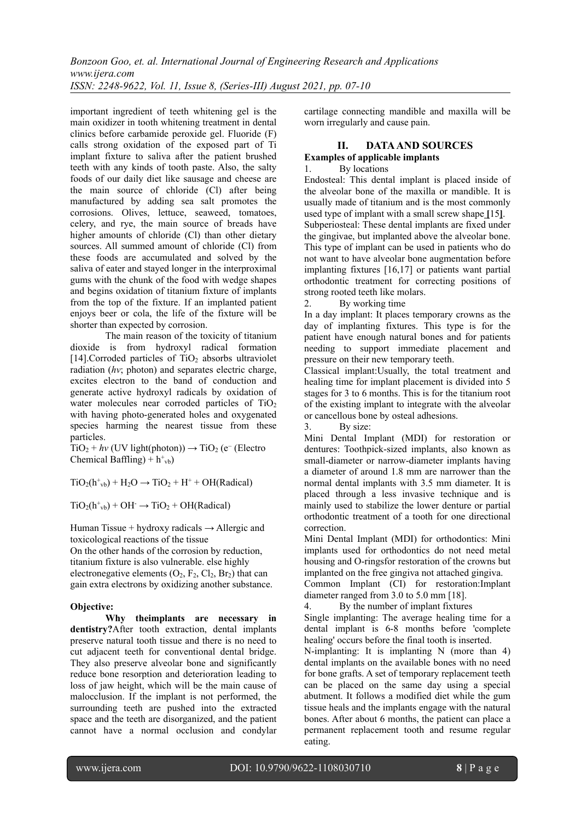important ingredient of teeth whitening gel is the main oxidizer in tooth whitening treatment in dental clinics before carbamide peroxide gel. Fluoride (F) calls strong oxidation of the exposed part of Ti implant fixture to saliva after the patient brushed teeth with any kinds of tooth paste. Also, the salty foods of our daily diet like sausage and cheese are the main source of chloride (Cl) after being manufactured by adding sea salt promotes the corrosions. Olives, lettuce, seaweed, tomatoes, celery, and rye, the main source of breads have higher amounts of chloride (Cl) than other dietary sources. All summed amount of chloride (Cl) from these foods are accumulated and solved by the saliva of eater and stayed longer in the interproximal gums with the chunk of the food with wedge shapes and begins oxidation of titanium fixture of implants from the top of the fixture. If an implanted patient enjoys beer or cola, the life of the fixture will be shorter than expected by corrosion.

The main reason of the toxicity of titanium dioxide is from hydroxyl radical formation  $[14]$ . Corroded particles of TiO<sub>2</sub> absorbs ultraviolet radiation (*hv*; photon) and separates electric charge, excites electron to the band of conduction and generate active hydroxyl radicals by oxidation of water molecules near corroded particles of TiO<sub>2</sub> with having photo-generated holes and oxygenated species harming the nearest tissue from these particles.

 $TiO<sub>2</sub> + hv$  (UV light(photon))  $\rightarrow TiO<sub>2</sub>$  (e<sup>-</sup> (Electro Chemical Baffling) +  $h^+_{\nu b}$ )

 $TiO<sub>2</sub>(h<sup>+</sup><sub>vb</sub>) + H<sub>2</sub>O \rightarrow TiO<sub>2</sub> + H<sup>+</sup> + OH(Radical)$ 

 $TiO<sub>2</sub>(h<sup>+</sup><sub>vb</sub>) + OH<sup>-</sup> \rightarrow TiO<sub>2</sub> + OH(Radical)$ 

Human Tissue + hydroxy radicals  $\rightarrow$  Allergic and toxicological reactions of the tissue

On the other hands of the corrosion by reduction, titanium fixture is also vulnerable. else highly electronegative elements  $(O_2, F_2, Cl_2, Br_2)$  that can gain extra electrons by oxidizing another substance.

# **Objective:**

**Why theimplants are necessary in dentistry?**After tooth extraction, dental implants preserve natural tooth tissue and there is no need to cut adjacent teeth for conventional dental bridge. They also preserve alveolar bone and significantly reduce bone resorption and deterioration leading to loss of jaw height, which will be the main cause of malocclusion. If the implant is not performed, the surrounding teeth are pushed into the extracted space and the teeth are disorganized, and the patient cannot have a normal occlusion and condylar cartilage connecting mandible and maxilla will be worn irregularly and cause pain.

## **II. DATAAND SOURCES Examples of applicable implants**

## 1. By locations

Endosteal: This dental implant is placed inside of the alveolar bone of the maxilla or mandible. It is usually made of titanium and is the most commonly used type of implant with a small screw shape **[**15**]**. Subperiosteal: These dental implants are fixed under the gingivae, but implanted above the alveolar bone. This type of implant can be used in patients who do not want to have alveolar bone augmentation before implanting fixtures [16,17] or patients want partial orthodontic treatment for correcting positions of strong rooted teeth like molars.

2. By working time

In a day implant: It places temporary crowns as the day of implanting fixtures. This type is for the patient have enough natural bones and for patients needing to support immediate placement and pressure on their new temporary teeth.

Classical implant:Usually, the total treatment and healing time for implant placement is divided into 5 stages for 3 to 6 months. This is for the titanium root of the existing implant to integrate with the alveolar or cancellous bone by osteal adhesions.

3. By size:

Mini Dental Implant (MDI) for restoration or dentures: Toothpick-sized implants, also known as small-diameter or narrow-diameter implants having a diameter of around 1.8 mm are narrower than the normal dental implants with 3.5 mm diameter. It is placed through a less invasive technique and is mainly used to stabilize the lower denture or partial orthodontic treatment of a tooth for one directional correction.

Mini Dental Implant (MDI) for orthodontics: Mini implants used for orthodontics do not need metal housing and O-ringsfor restoration of the crowns but implanted on the free gingiva not attached gingiva.

Common Implant (CI) for restoration:Implant diameter ranged from 3.0 to 5.0 mm [18].

4. By the number of implant fixtures

Single implanting: The average healing time for a dental implant is 6-8 months before 'complete healing' occurs before the final tooth is inserted.

N-implanting: It is implanting N (more than 4) dental implants on the available bones with no need for bone grafts. A set of temporary replacement teeth can be placed on the same day using a special abutment. It follows a modified diet while the gum tissue heals and the implants engage with the natural bones. After about 6 months, the patient can place a permanent replacement tooth and resume regular eating.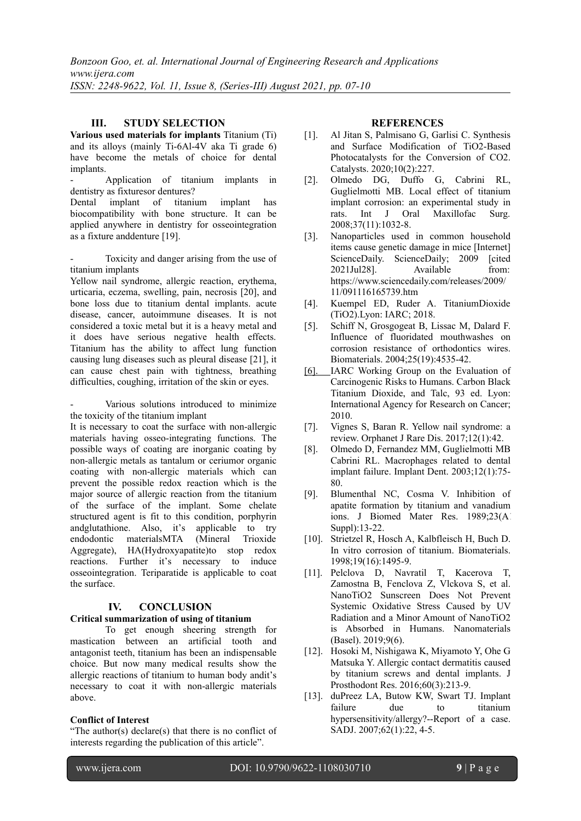*Bonzoon Goo, et. al. International Journal of Engineering Research and Applications www.ijera.com ISSN: 2248-9622, Vol. 11, Issue 8, (Series-III) August 2021, pp. 07-10*

# **III. STUDY SELECTION**

**Various used materials for implants** Titanium (Ti) and its alloys (mainly Ti-6Al-4V aka Ti grade 6) have become the metals of choice for dental implants.

- Application of titanium implants in dentistry as fixturesor dentures?

Dental implant of titanium implant has biocompatibility with bone structure. It can be applied anywhere in dentistry for osseointegration as a fixture anddenture [19].

Toxicity and danger arising from the use of titanium implants

Yellow nail syndrome, allergic reaction, erythema, urticaria, eczema, swelling, pain, necrosis [20], and bone loss due to titanium dental implants. acute disease, cancer, autoimmune diseases. It is not considered a toxic metal but it is a heavy metal and it does have serious negative health effects. Titanium has the ability to affect lung function causing lung diseases such as pleural disease [21], it can cause chest pain with tightness, breathing difficulties, coughing, irritation of the skin or eyes.

Various solutions introduced to minimize the toxicity of the titanium implant

It is necessary to coat the surface with non-allergic materials having osseo-integrating functions. The possible ways of coating are inorganic coating by non-allergic metals as tantalum or ceriumor organic coating with non-allergic materials which can prevent the possible redox reaction which is the major source of allergic reaction from the titanium of the surface of the implant. Some chelate structured agent is fit to this condition, porphyrin andglutathione. Also, it's applicable to try endodontic materialsMTA (Mineral Trioxide Aggregate), HA(Hydroxyapatite)to stop redox reactions. Further it's necessary to induce osseointegration. Teriparatide is applicable to coat the surface.

## **IV. CONCLUSION**

## **Critical summarization of using of titanium**

To get enough sheering strength for mastication between an artificial tooth and antagonist teeth, titanium has been an indispensable choice. But now many medical results show the allergic reactions of titanium to human body andit's necessary to coat it with non-allergic materials above.

#### **Conflict of Interest**

"The author(s) declare(s) that there is no conflict of interests regarding the publication of this article".

#### **REFERENCES**

- [1]. Al Jitan S, Palmisano G, Garlisi C. Synthesis and Surface Modification of TiO2-Based Photocatalysts for the Conversion of CO2. Catalysts. 2020;10(2):227.
- [2]. Olmedo DG, Duffo G, Cabrini RL, Guglielmotti MB. Local effect of titanium implant corrosion: an experimental study in rats. Int J Oral Maxillofac Surg. 2008;37(11):1032-8.
- [3]. Nanoparticles used in common household items cause genetic damage in mice [Internet]. ScienceDaily. ScienceDaily; 2009 [cited] 2021Jul28]. Available from: [https://www.sciencedaily.com/releases/2009/](https://www.sciencedaily.com/releases/2009/11/091116165739.htm) [11/091116165739.htm](https://www.sciencedaily.com/releases/2009/11/091116165739.htm)
- [4]. Kuempel ED, Ruder A. TitaniumDioxide (TiO2).Lyon: IARC; 2018.
- [5]. Schiff N, Grosgogeat B, Lissac M, Dalard F. Influence of fluoridated mouthwashes on corrosion resistance of orthodontics wires. Biomaterials. 2004;25(19):4535-42.
- [6]. IARC Working Group on the Evaluation of Carcinogenic Risks to Humans. Carbon Black, Titanium Dioxide, and Talc, 93 ed. Lyon: International Agency for Research on Cancer; 2010.
- [7]. Vignes S, Baran R. Yellow nail syndrome: a review. Orphanet J Rare Dis. 2017;12(1):42.
- [8]. Olmedo D, Fernandez MM, Guglielmotti MB, Cabrini RL. Macrophages related to dental implant failure. Implant Dent. 2003;12(1):75- 80.
- [9]. Blumenthal NC, Cosma V. Inhibition of apatite formation by titanium and vanadium ions. J Biomed Mater Res. 1989;23(A1) Suppl):13-22.
- [10]. Strietzel R, Hosch A, Kalbfleisch H, Buch D. In vitro corrosion of titanium. Biomaterials. 1998;19(16):1495-9.
- [11]. Pelclova D, Navratil T, Kacerova T, Zamostna B, Fenclova Z, Vlckova S, et al. NanoTiO2 Sunscreen Does Not Prevent Systemic Oxidative Stress Caused by UV Radiation and a Minor Amount of NanoTiO2 is Absorbed in Humans. Nanomaterials (Basel). 2019;9(6).
- [12]. Hosoki M, Nishigawa K, Miyamoto Y, Ohe G, Matsuka Y. Allergic contact dermatitis caused by titanium screws and dental implants. J Prosthodont Res. 2016;60(3):213-9.
- [13]. duPreez LA, Butow KW, Swart TJ. Implant due to titanium hypersensitivity/allergy?--Report of a case. SADJ. 2007;62(1):22, 4-5.